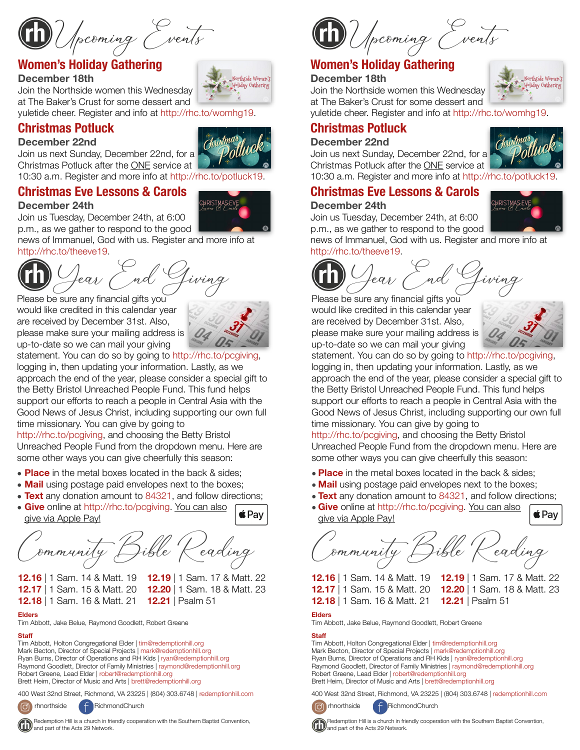Upcoming Events

## **Women's Holiday Gathering**

#### **December 18th**

Join the Northside women this Wednesday at The Baker's Crust for some dessert and yuletide cheer. Register and info at <http://rhc.to/womhg19>.

## **Christmas Potluck**





Christmas Potluck after the ONE service at 10:30 a.m. Register and more info at <http://rhc.to/potluck19>.

### **Christmas Eve Lessons & Carols**

#### **December 24th**

Join us Tuesday, December 24th, at 6:00 p.m., as we gather to respond to the good

news of Immanuel, God with us. Register and more info at <http://rhc.to/theeve19>.

Please be sure any financial gifts you would like credited in this calendar year are received by December 31st. Also, please make sure your mailing address is up-to-date so we can mail your giving



statement. You can do so by going to [http://rhc.to/pcgiving,](http://rhc.to/pcgiving) logging in, then updating your information. Lastly, as we approach the end of the year, please consider a special gift to the Betty Bristol Unreached People Fund. This fund helps support our efforts to reach a people in Central Asia with the Good News of Jesus Christ, including supporting our own full time missionary. You can give by going to

[http://rhc.to/pcgiving,](http://rhc.to/pcgiving) and choosing the Betty Bristol Unreached People Fund from the dropdown menu. Here are some other ways you can give cheerfully this season:

- **Place** in the metal boxes located in the back & sides;
- **Mail** using postage paid envelopes next to the boxes;
- **Text** any donation amount to 84321, and follow directions;
- **Give** online at<http://rhc.to/pcgiving>. You can also give via Apple Pay!

Community Bible Reading

**12.17** | 1 Sam. 15 & Matt. 20 **12.20** | 1 Sam. 18 & Matt. 23

**12.16** | 1 Sam. 14 & Matt. 19 **12.19** | 1 Sam. 17 & Matt. 22

 $\acute{\bullet}$  Pav

**12.18** | 1 Sam. 16 & Matt. 21 **12.21** | Psalm 51

#### **Elders**

Tim Abbott, Jake Belue, Raymond Goodlett, Robert Greene

#### **Staff**

Tim Abbott, Holton Congregational Elder | [tim@redemptionhill.org](mailto:tim@redemptionhill.org) Mark Becton, Director of Special Projects | [mark@redemptionhill.org](mailto:mark@redemptionhill.org) Ryan Burns, Director of Operations and RH Kids | [ryan@redemptionhill.org](mailto:ryan@redemptionhill.org) Raymond Goodlett, Director of Family Ministries | [raymond@redemptionhill.org](mailto:raymond@redemptionhill.org) Robert Greene, Lead Elder | [robert@redemptionhill.org](mailto:robert@redemptionhill.org) Brett Heim, Director of Music and Arts | [brett@redemptionhill.org](mailto:brett@redemptionhill.org)

400 West 32nd Street, Richmond, VA 23225 | (804) 303.6748 | [redemptionhill.com](http://redemptionhill.com)



**RichmondChurch** 





### **Women's Holiday Gathering**

#### **December 18th**

Holiday Gathering Join the Northside women this Wednesday at The Baker's Crust for some dessert and yuletide cheer. Register and info at [http://rhc.to/womhg19.](http://rhc.to/womhg19)

# **Christmas Potluck**

#### **December 22nd**

Join us next Sunday, December 22nd, for a Christmas Potluck after the ONE service at 10:30 a.m. Register and more info at [http://rhc.to/potluck19.](http://rhc.to/potluck19)

### **Christmas Eve Lessons & Carols**

#### **December 24th**

Join us Tuesday, December 24th, at 6:00 p.m., as we gather to respond to the good

news of Immanuel, God with us. Register and more info at [http://rhc.to/theeve19.](http://rhc.to/theeve19)



Please be sure any financial gifts you would like credited in this calendar year are received by December 31st. Also, please make sure your mailing address is up-to-date so we can mail your giving



statement. You can do so by going to [http://rhc.to/pcgiving,](http://rhc.to/pcgiving) logging in, then updating your information. Lastly, as we approach the end of the year, please consider a special gift to the Betty Bristol Unreached People Fund. This fund helps support our efforts to reach a people in Central Asia with the Good News of Jesus Christ, including supporting our own full time missionary. You can give by going to

<http://rhc.to/pcgiving>, and choosing the Betty Bristol Unreached People Fund from the dropdown menu. Here are some other ways you can give cheerfully this season:

- **Place** in the metal boxes located in the back & sides;
- **Mail** using postage paid envelopes next to the boxes;
- **Text** any donation amount to 84321, and follow directions;
- **Give** online at [http://rhc.to/pcgiving.](http://rhc.to/pcgiving) You can also give via Apple Pay!

Community Bible Reading

**12.16** | 1 Sam. 14 & Matt. 19 **12.19** | 1 Sam. 17 & Matt. 22 **12.17** | 1 Sam. 15 & Matt. 20 **12.20** | 1 Sam. 18 & Matt. 23 **12.18** | 1 Sam. 16 & Matt. 21 **12.21** | Psalm 51

 $\triangle$ Pay



Tim Abbott, Jake Belue, Raymond Goodlett, Robert Greene

#### **Staff**

Tim Abbott, Holton Congregational Elder | [tim@redemptionhill.org](mailto:tim@redemptionhill.org) Mark Becton, Director of Special Projects | [mark@redemptionhill.org](mailto:mark@redemptionhill.org) Ryan Burns, Director of Operations and RH Kids | [ryan@redemptionhill.org](mailto:ryan@redemptionhill.org) Raymond Goodlett, Director of Family Ministries | [raymond@redemptionhill.org](mailto:raymond@redemptionhill.org) Robert Greene, Lead Elder | [robert@redemptionhill.org](mailto:robert@redemptionhill.org) Brett Heim, Director of Music and Arts | [brett@redemptionhill.org](mailto:brett@redemptionhill.org)

400 West 32nd Street, Richmond, VA 23225 | (804) 303.6748 | [redemptionhill.com](http://redemptionhill.com)



rhnorthside RichmondChurch



**HRISTMAS** 



 Redemption Hill is a church in friendly cooperation with the Southern Baptist Convention, and part of the Acts 29 Network.

 Redemption Hill is a church in friendly cooperation with the Southern Baptist Convention, and part of the Acts 29 Network.



Northside Women's